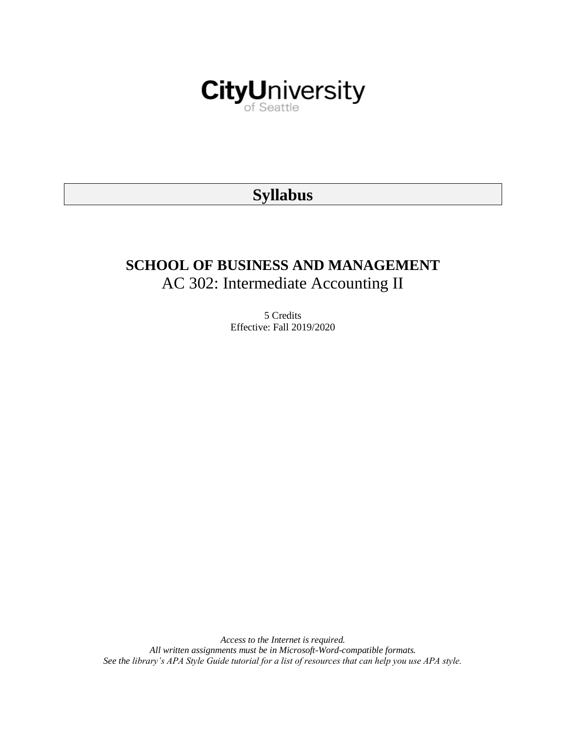

# **Syllabus**

# **SCHOOL OF BUSINESS AND MANAGEMENT** AC 302: Intermediate Accounting II

5 Credits Effective: Fall 2019/2020

*Access to the Internet is required. All written assignments must be in Microsoft-Word-compatible formats. See the library's APA Style Guide tutorial for a list of resources that can help you use APA style.*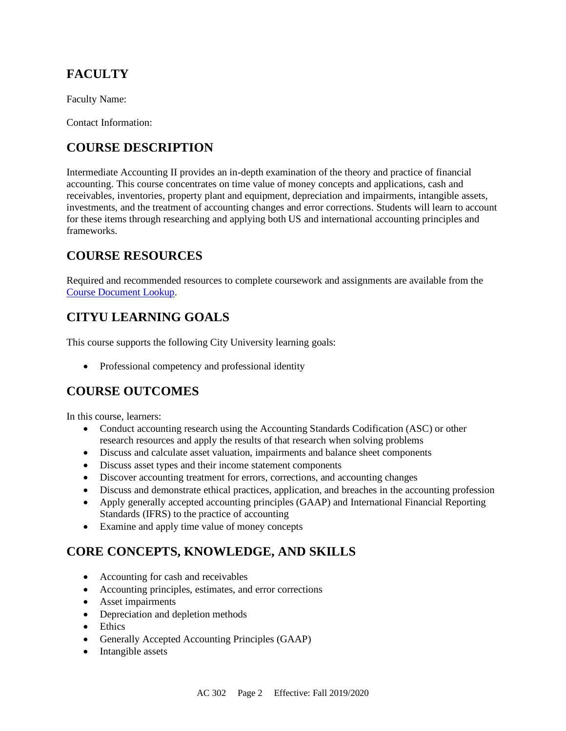# **FACULTY**

Faculty Name:

Contact Information:

## **COURSE DESCRIPTION**

Intermediate Accounting II provides an in-depth examination of the theory and practice of financial accounting. This course concentrates on time value of money concepts and applications, cash and receivables, inventories, property plant and equipment, depreciation and impairments, intangible assets, investments, and the treatment of accounting changes and error corrections. Students will learn to account for these items through researching and applying both US and international accounting principles and frameworks.

# **COURSE RESOURCES**

Required and recommended resources to complete coursework and assignments are available from the [Course Document Lookup.](https://documents.cityu.edu/coursedocumentlookup.aspx)

# **CITYU LEARNING GOALS**

This course supports the following City University learning goals:

• Professional competency and professional identity

### **COURSE OUTCOMES**

In this course, learners:

- Conduct accounting research using the Accounting Standards Codification (ASC) or other research resources and apply the results of that research when solving problems
- Discuss and calculate asset valuation, impairments and balance sheet components
- Discuss asset types and their income statement components
- Discover accounting treatment for errors, corrections, and accounting changes
- Discuss and demonstrate ethical practices, application, and breaches in the accounting profession
- Apply generally accepted accounting principles (GAAP) and International Financial Reporting Standards (IFRS) to the practice of accounting
- Examine and apply time value of money concepts

### **CORE CONCEPTS, KNOWLEDGE, AND SKILLS**

- Accounting for cash and receivables
- Accounting principles, estimates, and error corrections
- Asset impairments
- Depreciation and depletion methods
- Ethics
- Generally Accepted Accounting Principles (GAAP)
- Intangible assets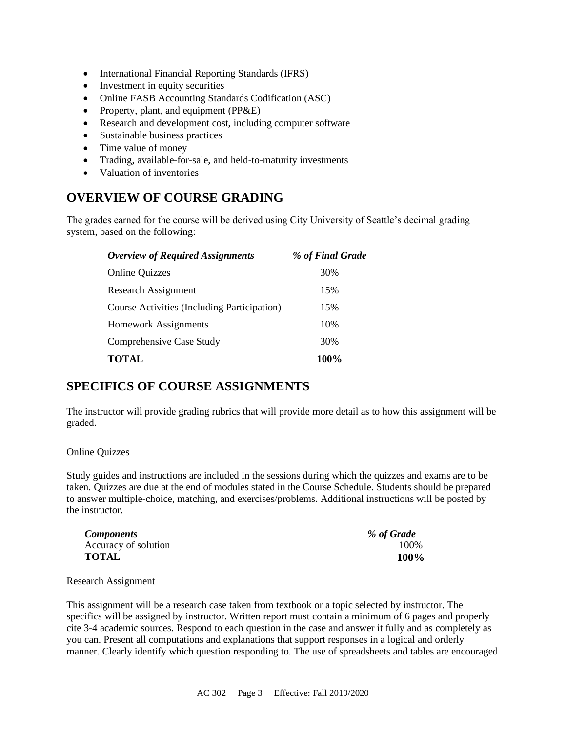- International Financial Reporting Standards (IFRS)
- Investment in equity securities
- Online FASB Accounting Standards Codification (ASC)
- Property, plant, and equipment (PP&E)
- Research and development cost, including computer software
- Sustainable business practices
- Time value of money
- Trading, available-for-sale, and held-to-maturity investments
- Valuation of inventories

### **OVERVIEW OF COURSE GRADING**

The grades earned for the course will be derived using City University of Seattle's decimal grading system, based on the following:

| <b>Overview of Required Assignments</b>     | % of Final Grade |
|---------------------------------------------|------------------|
| <b>Online Quizzes</b>                       | 30%              |
| Research Assignment                         | 15%              |
| Course Activities (Including Participation) | 15%              |
| <b>Homework Assignments</b>                 | 10%              |
| Comprehensive Case Study                    | 30%              |
| <b>TOTAL</b>                                | 100%             |

### **SPECIFICS OF COURSE ASSIGNMENTS**

The instructor will provide grading rubrics that will provide more detail as to how this assignment will be graded.

#### Online Quizzes

Study guides and instructions are included in the sessions during which the quizzes and exams are to be taken. Quizzes are due at the end of modules stated in the Course Schedule. Students should be prepared to answer multiple-choice, matching, and exercises/problems. Additional instructions will be posted by the instructor.

| <i>Components</i>    | % of Grade |
|----------------------|------------|
| Accuracy of solution | 100%       |
| <b>TOTAL</b>         | 100%       |

#### Research Assignment

This assignment will be a research case taken from textbook or a topic selected by instructor. The specifics will be assigned by instructor. Written report must contain a minimum of 6 pages and properly cite 3-4 academic sources. Respond to each question in the case and answer it fully and as completely as you can. Present all computations and explanations that support responses in a logical and orderly manner. Clearly identify which question responding to. The use of spreadsheets and tables are encouraged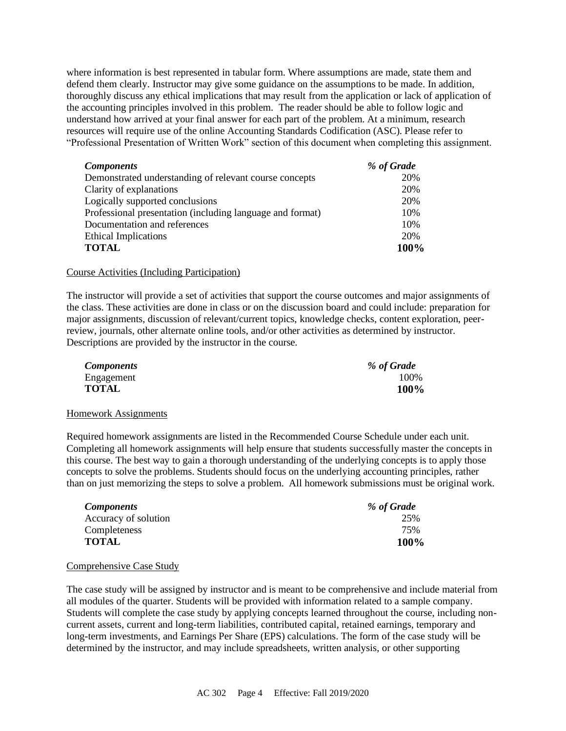where information is best represented in tabular form. Where assumptions are made, state them and defend them clearly. Instructor may give some guidance on the assumptions to be made. In addition, thoroughly discuss any ethical implications that may result from the application or lack of application of the accounting principles involved in this problem. The reader should be able to follow logic and understand how arrived at your final answer for each part of the problem. At a minimum, research resources will require use of the online Accounting Standards Codification (ASC). Please refer to "Professional Presentation of Written Work" section of this document when completing this assignment.

| <b>Components</b>                                         | % of Grade |
|-----------------------------------------------------------|------------|
| Demonstrated understanding of relevant course concepts    | 20%        |
| Clarity of explanations                                   | 20%        |
| Logically supported conclusions                           | 20%        |
| Professional presentation (including language and format) | 10%        |
| Documentation and references                              | 10%        |
| <b>Ethical Implications</b>                               | 20%        |
| <b>TOTAL</b>                                              | 100%       |

#### Course Activities (Including Participation)

The instructor will provide a set of activities that support the course outcomes and major assignments of the class. These activities are done in class or on the discussion board and could include: preparation for major assignments, discussion of relevant/current topics, knowledge checks, content exploration, peerreview, journals, other alternate online tools, and/or other activities as determined by instructor. Descriptions are provided by the instructor in the course.

| <b>Components</b> | % of Grade |
|-------------------|------------|
| Engagement        | 100%       |
| <b>TOTAL</b>      | 100%       |

#### Homework Assignments

Required homework assignments are listed in the Recommended Course Schedule under each unit. Completing all homework assignments will help ensure that students successfully master the concepts in this course. The best way to gain a thorough understanding of the underlying concepts is to apply those concepts to solve the problems. Students should focus on the underlying accounting principles, rather than on just memorizing the steps to solve a problem. All homework submissions must be original work.

| <i>Components</i>    | % of Grade  |
|----------------------|-------------|
| Accuracy of solution | 25%         |
| Completeness         | 75%         |
| TOTAL                | <b>100%</b> |

#### Comprehensive Case Study

The case study will be assigned by instructor and is meant to be comprehensive and include material from all modules of the quarter. Students will be provided with information related to a sample company. Students will complete the case study by applying concepts learned throughout the course, including noncurrent assets, current and long-term liabilities, contributed capital, retained earnings, temporary and long-term investments, and Earnings Per Share (EPS) calculations. The form of the case study will be determined by the instructor, and may include spreadsheets, written analysis, or other supporting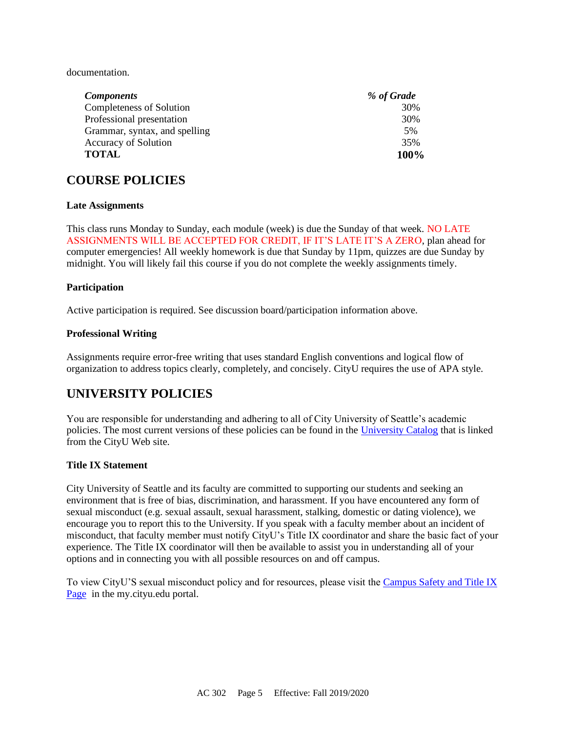documentation.

| <b>Components</b>             | % of Grade |
|-------------------------------|------------|
| Completeness of Solution      | 30%        |
| Professional presentation     | 30%        |
| Grammar, syntax, and spelling | .5%        |
| <b>Accuracy of Solution</b>   | 35%        |
| <b>TOTAL</b>                  | 100%       |

### **COURSE POLICIES**

#### **Late Assignments**

This class runs Monday to Sunday, each module (week) is due the Sunday of that week. NO LATE ASSIGNMENTS WILL BE ACCEPTED FOR CREDIT, IF IT'S LATE IT'S A ZERO, plan ahead for computer emergencies! All weekly homework is due that Sunday by 11pm, quizzes are due Sunday by midnight. You will likely fail this course if you do not complete the weekly assignments timely.

#### **Participation**

Active participation is required. See discussion board/participation information above.

#### **Professional Writing**

Assignments require error-free writing that uses standard English conventions and logical flow of organization to address topics clearly, completely, and concisely. CityU requires the use of APA style.

### **UNIVERSITY POLICIES**

You are responsible for understanding and adhering to all of City University of Seattle's academic policies. The most current versions of these policies can be found in the [University Catalog](http://www.cityu.edu/catalog/) that is linked from the CityU Web site.

#### **Title IX Statement**

City University of Seattle and its faculty are committed to supporting our students and seeking an environment that is free of bias, discrimination, and harassment. If you have encountered any form of sexual misconduct (e.g. sexual assault, sexual harassment, stalking, domestic or dating violence), we encourage you to report this to the University. If you speak with a faculty member about an incident of misconduct, that faculty member must notify CityU's Title IX coordinator and share the basic fact of your experience. The Title IX coordinator will then be available to assist you in understanding all of your options and in connecting you with all possible resources on and off campus.

To view CityU'S sexual misconduct policy and for resources, please visit the [Campus Safety and Title IX](https://goo.gl/NJVVvh)  [Page](https://goo.gl/NJVVvh) in the my.cityu.edu portal.